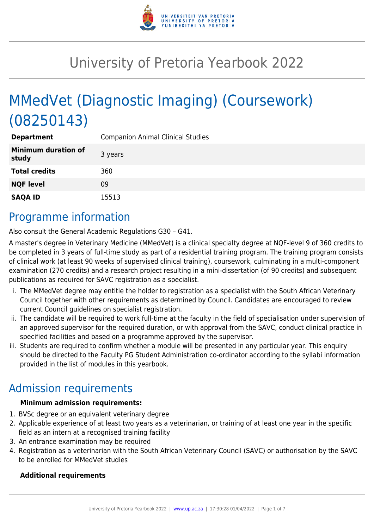

# University of Pretoria Yearbook 2022

# MMedVet (Diagnostic Imaging) (Coursework) (08250143)

| <b>Department</b>                   | <b>Companion Animal Clinical Studies</b> |
|-------------------------------------|------------------------------------------|
| <b>Minimum duration of</b><br>study | 3 years                                  |
| <b>Total credits</b>                | 360                                      |
| <b>NQF level</b>                    | 09                                       |
| <b>SAQA ID</b>                      | 15513                                    |

### Programme information

Also consult the General Academic Regulations G30 – G41.

A master's degree in Veterinary Medicine (MMedVet) is a clinical specialty degree at NQF-level 9 of 360 credits to be completed in 3 years of full-time study as part of a residential training program. The training program consists of clinical work (at least 90 weeks of supervised clinical training), coursework, culminating in a multi-component examination (270 credits) and a research project resulting in a mini-dissertation (of 90 credits) and subsequent publications as required for SAVC registration as a specialist.

- i. The MMedVet degree may entitle the holder to registration as a specialist with the South African Veterinary Council together with other requirements as determined by Council. Candidates are encouraged to review current Council guidelines on specialist registration.
- ii. The candidate will be required to work full-time at the faculty in the field of specialisation under supervision of an approved supervisor for the required duration, or with approval from the SAVC, conduct clinical practice in specified facilities and based on a programme approved by the supervisor.
- iii. Students are required to confirm whether a module will be presented in any particular year. This enquiry should be directed to the Faculty PG Student Administration co-ordinator according to the syllabi information provided in the list of modules in this yearbook.

# Admission requirements

#### **Minimum admission requirements:**

- 1. BVSc degree or an equivalent veterinary degree
- 2. Applicable experience of at least two years as a veterinarian, or training of at least one year in the specific field as an intern at a recognised training facility
- 3. An entrance examination may be required
- 4. Registration as a veterinarian with the South African Veterinary Council (SAVC) or authorisation by the SAVC to be enrolled for MMedVet studies

#### **Additional requirements**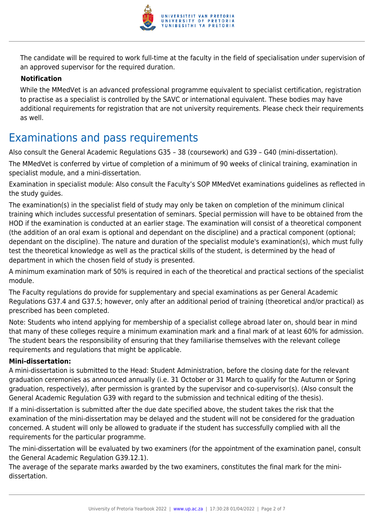

The candidate will be required to work full-time at the faculty in the field of specialisation under supervision of an approved supervisor for the required duration.

#### **Notification**

While the MMedVet is an advanced professional programme equivalent to specialist certification, registration to practise as a specialist is controlled by the SAVC or international equivalent. These bodies may have additional requirements for registration that are not university requirements. Please check their requirements as well.

### Examinations and pass requirements

Also consult the General Academic Regulations G35 – 38 (coursework) and G39 – G40 (mini-dissertation).

The MMedVet is conferred by virtue of completion of a minimum of 90 weeks of clinical training, examination in specialist module, and a mini-dissertation.

Examination in specialist module: Also consult the Faculty's SOP MMedVet examinations guidelines as reflected in the study guides.

The examination(s) in the specialist field of study may only be taken on completion of the minimum clinical training which includes successful presentation of seminars. Special permission will have to be obtained from the HOD if the examination is conducted at an earlier stage. The examination will consist of a theoretical component (the addition of an oral exam is optional and dependant on the discipline) and a practical component (optional; dependant on the discipline). The nature and duration of the specialist module's examination(s), which must fully test the theoretical knowledge as well as the practical skills of the student, is determined by the head of department in which the chosen field of study is presented.

A minimum examination mark of 50% is required in each of the theoretical and practical sections of the specialist module.

The Faculty regulations do provide for supplementary and special examinations as per General Academic Regulations G37.4 and G37.5; however, only after an additional period of training (theoretical and/or practical) as prescribed has been completed.

Note: Students who intend applying for membership of a specialist college abroad later on, should bear in mind that many of these colleges require a minimum examination mark and a final mark of at least 60% for admission. The student bears the responsibility of ensuring that they familiarise themselves with the relevant college requirements and regulations that might be applicable.

#### **Mini-dissertation:**

A mini-dissertation is submitted to the Head: Student Administration, before the closing date for the relevant graduation ceremonies as announced annually (i.e. 31 October or 31 March to qualify for the Autumn or Spring graduation, respectively), after permission is granted by the supervisor and co-supervisor(s). (Also consult the General Academic Regulation G39 with regard to the submission and technical editing of the thesis).

If a mini-dissertation is submitted after the due date specified above, the student takes the risk that the examination of the mini-dissertation may be delayed and the student will not be considered for the graduation concerned. A student will only be allowed to graduate if the student has successfully complied with all the requirements for the particular programme.

The mini-dissertation will be evaluated by two examiners (for the appointment of the examination panel, consult the General Academic Regulation G39.12.1).

The average of the separate marks awarded by the two examiners, constitutes the final mark for the minidissertation.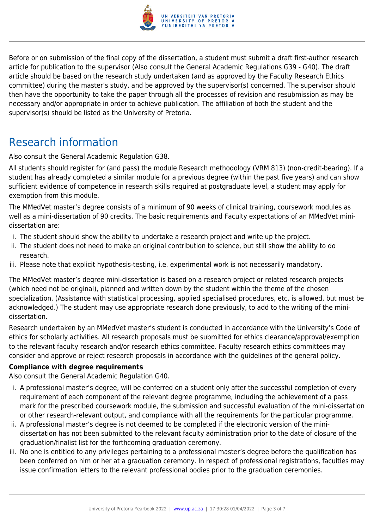

Before or on submission of the final copy of the dissertation, a student must submit a draft first-author research article for publication to the supervisor (Also consult the General Academic Regulations G39 - G40). The draft article should be based on the research study undertaken (and as approved by the Faculty Research Ethics committee) during the master's study, and be approved by the supervisor(s) concerned. The supervisor should then have the opportunity to take the paper through all the processes of revision and resubmission as may be necessary and/or appropriate in order to achieve publication. The affiliation of both the student and the supervisor(s) should be listed as the University of Pretoria.

### Research information

Also consult the General Academic Regulation G38.

All students should register for (and pass) the module Research methodology (VRM 813) (non-credit-bearing). If a student has already completed a similar module for a previous degree (within the past five years) and can show sufficient evidence of competence in research skills required at postgraduate level, a student may apply for exemption from this module.

The MMedVet master's degree consists of a minimum of 90 weeks of clinical training, coursework modules as well as a mini-dissertation of 90 credits. The basic requirements and Faculty expectations of an MMedVet minidissertation are:

- i. The student should show the ability to undertake a research project and write up the project.
- ii. The student does not need to make an original contribution to science, but still show the ability to do research.
- iii. Please note that explicit hypothesis-testing, i.e. experimental work is not necessarily mandatory.

The MMedVet master's degree mini-dissertation is based on a research project or related research projects (which need not be original), planned and written down by the student within the theme of the chosen specialization. (Assistance with statistical processing, applied specialised procedures, etc. is allowed, but must be acknowledged.) The student may use appropriate research done previously, to add to the writing of the minidissertation.

Research undertaken by an MMedVet master's student is conducted in accordance with the University's Code of ethics for scholarly activities. All research proposals must be submitted for ethics clearance/approval/exemption to the relevant faculty research and/or research ethics committee. Faculty research ethics committees may consider and approve or reject research proposals in accordance with the guidelines of the general policy.

#### **Compliance with degree requirements**

Also consult the General Academic Regulation G40.

- i. A professional master's degree, will be conferred on a student only after the successful completion of every requirement of each component of the relevant degree programme, including the achievement of a pass mark for the prescribed coursework module, the submission and successful evaluation of the mini-dissertation or other research-relevant output, and compliance with all the requirements for the particular programme.
- ii. A professional master's degree is not deemed to be completed if the electronic version of the minidissertation has not been submitted to the relevant faculty administration prior to the date of closure of the graduation/finalist list for the forthcoming graduation ceremony.
- iii. No one is entitled to any privileges pertaining to a professional master's degree before the qualification has been conferred on him or her at a graduation ceremony. In respect of professional registrations, faculties may issue confirmation letters to the relevant professional bodies prior to the graduation ceremonies.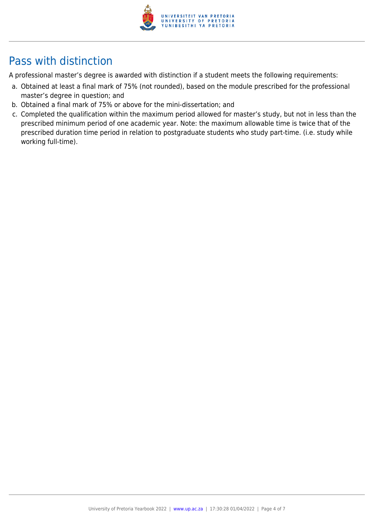

# Pass with distinction

A professional master's degree is awarded with distinction if a student meets the following requirements:

- a. Obtained at least a final mark of 75% (not rounded), based on the module prescribed for the professional master's degree in question; and
- b. Obtained a final mark of 75% or above for the mini-dissertation; and
- c. Completed the qualification within the maximum period allowed for master's study, but not in less than the prescribed minimum period of one academic year. Note: the maximum allowable time is twice that of the prescribed duration time period in relation to postgraduate students who study part-time. (i.e. study while working full-time).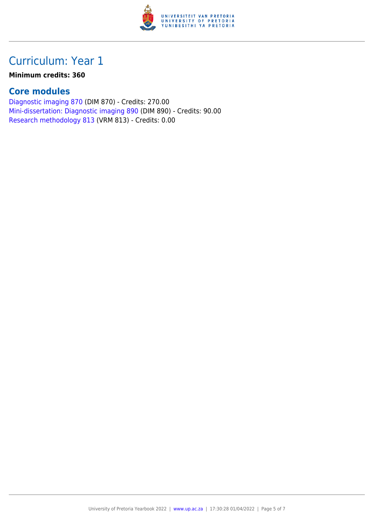

# Curriculum: Year 1

#### **Minimum credits: 360**

### **Core modules**

[Diagnostic imaging 870](https://www.up.ac.za/yearbooks/2022/modules/view/DIM 870) (DIM 870) - Credits: 270.00 [Mini-dissertation: Diagnostic imaging 890](https://www.up.ac.za/yearbooks/2022/modules/view/DIM 890) (DIM 890) - Credits: 90.00 [Research methodology 813](https://www.up.ac.za/yearbooks/2022/modules/view/VRM 813) (VRM 813) - Credits: 0.00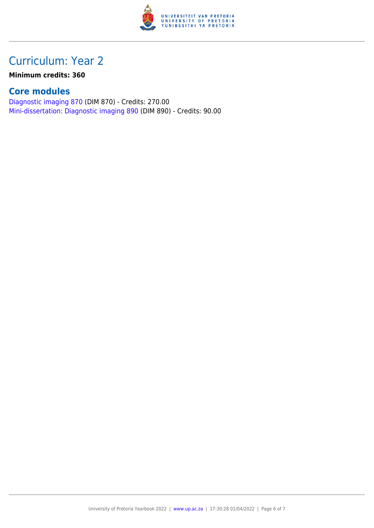

### Curriculum: Year 2

**Minimum credits: 360**

### **Core modules**

[Diagnostic imaging 870](https://www.up.ac.za/yearbooks/2022/modules/view/DIM 870) (DIM 870) - Credits: 270.00 [Mini-dissertation: Diagnostic imaging 890](https://www.up.ac.za/yearbooks/2022/modules/view/DIM 890) (DIM 890) - Credits: 90.00